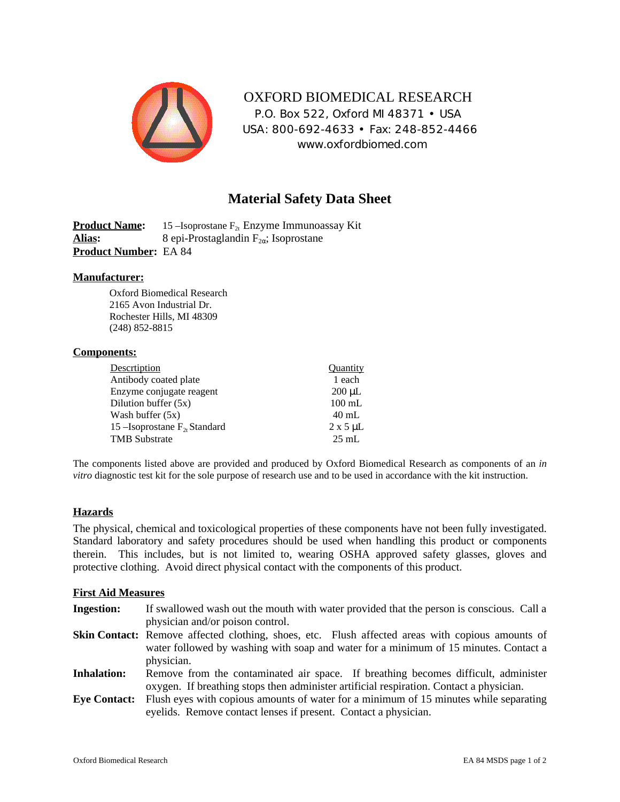

 OXFORD BIOMEDICAL RESEARCH P.O. Box 522, Oxford MI 48371 • USA USA: 800-692-4633 • Fax: 248-852-4466 www.oxfordbiomed.com

# **Material Safety Data Sheet**

**Product Name:** 15 –Isoprostane F<sub>2t</sub> Enzyme Immunoassay Kit **Alias:** 8 epi-Prostaglandin F<sub>2</sub> ; Isoprostane **Product Number:** EA 84

### **Manufacturer:**

Oxford Biomedical Research 2165 Avon Industrial Dr. Rochester Hills, MI 48309 (248) 852-8815

#### **Components:**

| Descrtiption                       | Quantity           |
|------------------------------------|--------------------|
| Antibody coated plate              | 1 each             |
| Enzyme conjugate reagent           | $200 \mu L$        |
| Dilution buffer $(5x)$             | $100$ mL           |
| Wash buffer $(5x)$                 | $40 \text{ mL}$    |
| 15 – Isoprostane $F_{2t}$ Standard | $2 \times 5 \mu L$ |
| <b>TMB</b> Substrate               | $25 \text{ mL}$    |

The components listed above are provided and produced by Oxford Biomedical Research as components of an *in vitro* diagnostic test kit for the sole purpose of research use and to be used in accordance with the kit instruction.

### **Hazards**

The physical, chemical and toxicological properties of these components have not been fully investigated. Standard laboratory and safety procedures should be used when handling this product or components therein. This includes, but is not limited to, wearing OSHA approved safety glasses, gloves and protective clothing. Avoid direct physical contact with the components of this product.

### **First Aid Measures**

**Ingestion:** If swallowed wash out the mouth with water provided that the person is conscious. Call a physician and/or poison control. Skin Contact: Remove affected clothing, shoes, etc. Flush affected areas with copious amounts of water followed by washing with soap and water for a minimum of 15 minutes. Contact a physician. **Inhalation:** Remove from the contaminated air space. If breathing becomes difficult, administer oxygen. If breathing stops then administer artificial respiration. Contact a physician. **Eye Contact:** Flush eyes with copious amounts of water for a minimum of 15 minutes while separating

eyelids. Remove contact lenses if present. Contact a physician.